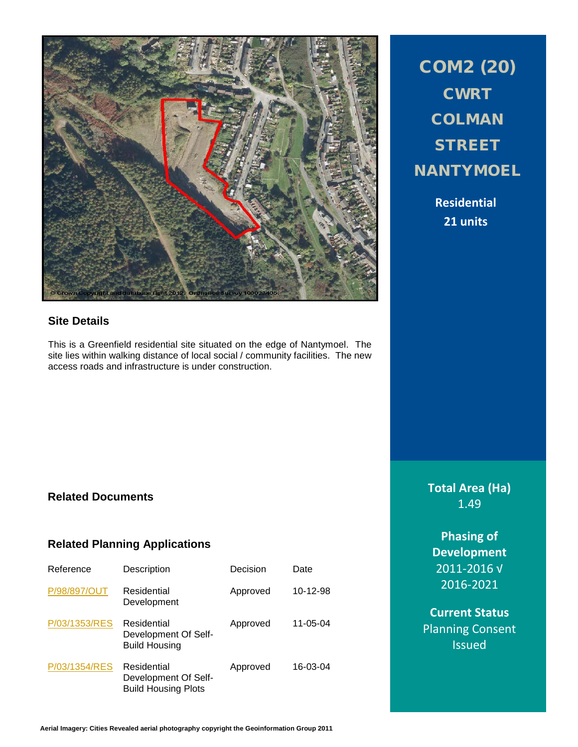

# **Site Details**

This is a Greenfield residential site situated on the edge of Nantymoel. The site lies within walking distance of local social / community facilities. The new access roads and infrastructure is under construction.

COM2 (20) **CWRT COLMAN STREET NANTYMOEL** 

> **Residential 21 units**

### **Related Documents**

### **Related Planning Applications**

| Reference     | Description                                                       | Decision | Date           |
|---------------|-------------------------------------------------------------------|----------|----------------|
| P/98/897/OUT  | Residential<br>Development                                        | Approved | 10-12-98       |
| P/03/1353/RES | Residential<br>Development Of Self-<br><b>Build Housing</b>       | Approved | $11 - 05 - 04$ |
| P/03/1354/RES | Residential<br>Development Of Self-<br><b>Build Housing Plots</b> | Approved | 16-03-04       |

**Total Area (Ha)** 1.49

**Phasing of Development** 2011-2016 √ 2016-2021

**Current Status** Planning Consent Issued